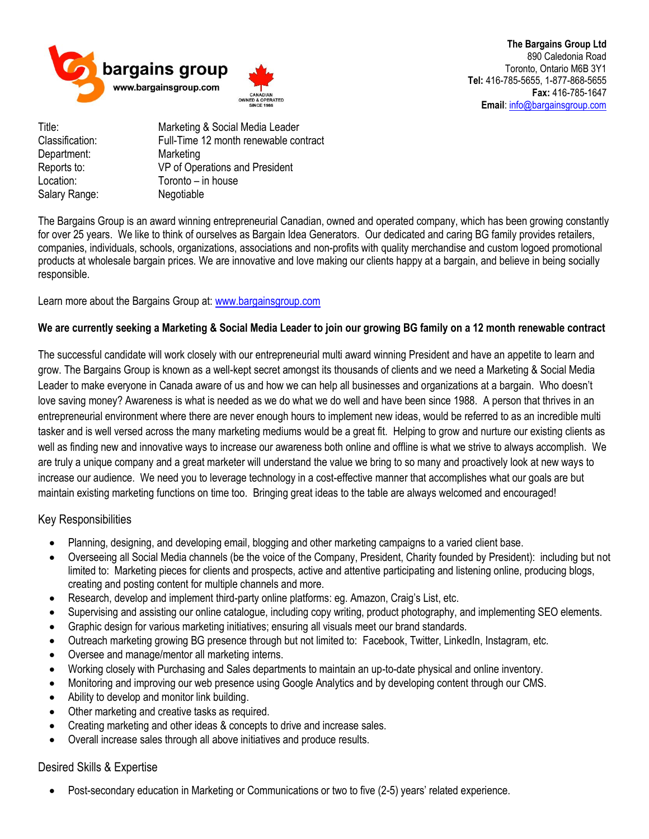

**The Bargains Group Ltd** 890 Caledonia Road Toronto, Ontario M6B 3Y1 **Tel:** 416-785-5655, 1-877-868-5655 **Fax:** 416-785-1647 **Email**[: info@bargainsgroup.com](mailto:info@bargainsgroup.com)

Department: Marketing Location: Toronto – in house Salary Range: Negotiable

Title: Marketing & Social Media Leader Classification: Full-Time 12 month renewable contract Reports to: VP of Operations and President

The Bargains Group is an award winning entrepreneurial Canadian, owned and operated company, which has been growing constantly for over 25 years. We like to think of ourselves as Bargain Idea Generators. Our dedicated and caring BG family provides retailers, companies, individuals, schools, organizations, associations and non-profits with quality merchandise and custom logoed promotional products at wholesale bargain prices. We are innovative and love making our clients happy at a bargain, and believe in being socially responsible.

Learn more about the Bargains Group at: [www.bargainsgroup.com](http://www.bargainsgroup.com/)

## **We are currently seeking a Marketing & Social Media Leader to join our growing BG family on a 12 month renewable contract**

The successful candidate will work closely with our entrepreneurial multi award winning President and have an appetite to learn and grow. The Bargains Group is known as a well-kept secret amongst its thousands of clients and we need a Marketing & Social Media Leader to make everyone in Canada aware of us and how we can help all businesses and organizations at a bargain. Who doesn't love saving money? Awareness is what is needed as we do what we do well and have been since 1988. A person that thrives in an entrepreneurial environment where there are never enough hours to implement new ideas, would be referred to as an incredible multi tasker and is well versed across the many marketing mediums would be a great fit. Helping to grow and nurture our existing clients as well as finding new and innovative ways to increase our awareness both online and offline is what we strive to always accomplish. We are truly a unique company and a great marketer will understand the value we bring to so many and proactively look at new ways to increase our audience. We need you to leverage technology in a cost-effective manner that accomplishes what our goals are but maintain existing marketing functions on time too. Bringing great ideas to the table are always welcomed and encouraged!

## Key Responsibilities

- Planning, designing, and developing email, blogging and other marketing campaigns to a varied client base.
- Overseeing all Social Media channels (be the voice of the Company, President, Charity founded by President): including but not limited to: Marketing pieces for clients and prospects, active and attentive participating and listening online, producing blogs, creating and posting content for multiple channels and more.
- Research, develop and implement third-party online platforms: eg. Amazon, Craig's List, etc.
- Supervising and assisting our online catalogue, including copy writing, product photography, and implementing SEO elements.
- Graphic design for various marketing initiatives; ensuring all visuals meet our brand standards.
- Outreach marketing growing BG presence through but not limited to: Facebook, Twitter, LinkedIn, Instagram, etc.
- Oversee and manage/mentor all marketing interns.
- Working closely with Purchasing and Sales departments to maintain an up-to-date physical and online inventory.
- Monitoring and improving our web presence using Google Analytics and by developing content through our CMS.
- Ability to develop and monitor link building.
- Other marketing and creative tasks as required.
- Creating marketing and other ideas & concepts to drive and increase sales.
- Overall increase sales through all above initiatives and produce results.

## Desired Skills & Expertise

• Post-secondary education in Marketing or Communications or two to five (2-5) years' related experience.